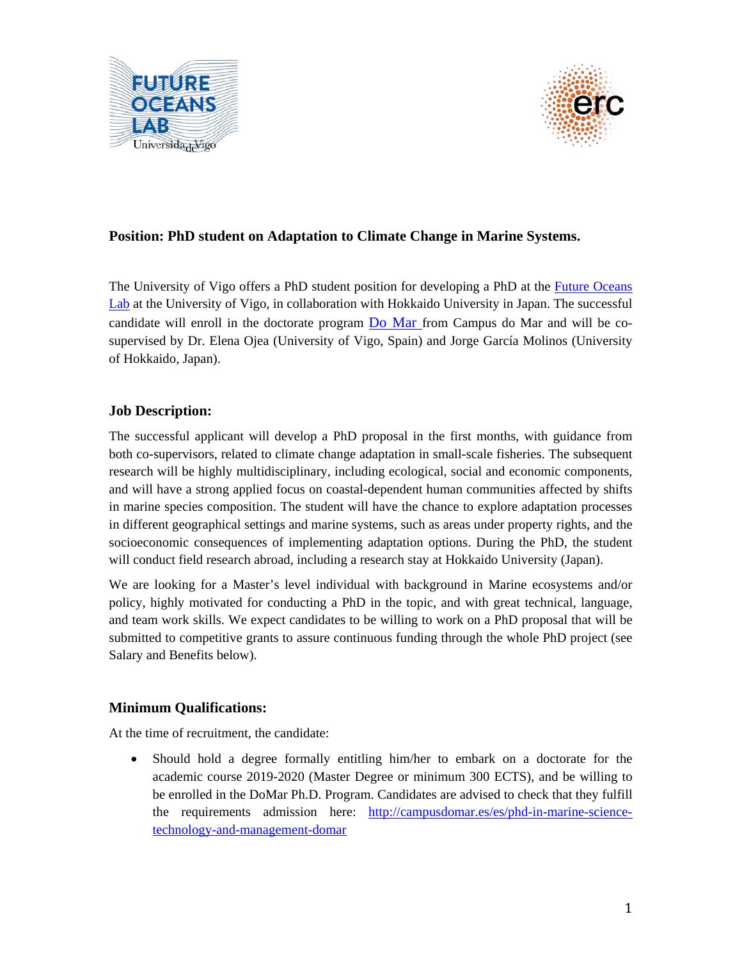



# **Position: PhD student on Adaptation to Climate Change in Marine Systems.**

The University of Vigo offers a PhD student position for developing a PhD at the *Future Oceans* [Lab](http://futureoceanslab.org/) at the University of Vigo, in collaboration with Hokkaido University in Japan. The successful candidate will enroll in the doctorate program [Do Mar](mailto:http://campusdomar-pt-domar.net%20and%20http://campusdomar.es/es/phd-in-marine-science-technology-and-management-domar) from Campus do Mar and will be cosupervised by Dr. Elena Ojea (University of Vigo, Spain) and Jorge García Molinos (University of Hokkaido, Japan).

### **Job Description:**

The successful applicant will develop a PhD proposal in the first months, with guidance from both co-supervisors, related to climate change adaptation in small-scale fisheries. The subsequent research will be highly multidisciplinary, including ecological, social and economic components, and will have a strong applied focus on coastal-dependent human communities affected by shifts in marine species composition. The student will have the chance to explore adaptation processes in different geographical settings and marine systems, such as areas under property rights, and the socioeconomic consequences of implementing adaptation options. During the PhD, the student will conduct field research abroad, including a research stay at Hokkaido University (Japan).

We are looking for a Master's level individual with background in Marine ecosystems and/or policy, highly motivated for conducting a PhD in the topic, and with great technical, language, and team work skills. We expect candidates to be willing to work on a PhD proposal that will be submitted to competitive grants to assure continuous funding through the whole PhD project (see Salary and Benefits below).

## **Minimum Qualifications:**

At the time of recruitment, the candidate:

• Should hold a degree formally entitling him/her to embark on a doctorate for the academic course 2019-2020 (Master Degree or minimum 300 ECTS), and be willing to be enrolled in the DoMar Ph.D. Program. Candidates are advised to check that they fulfill the requirements admission here: [http://campusdomar.es/es/phd-in-marine-science](http://campusdomar.es/es/phd-in-marine-science-technology-and-management-domar)[technology-and-management-domar](http://campusdomar.es/es/phd-in-marine-science-technology-and-management-domar)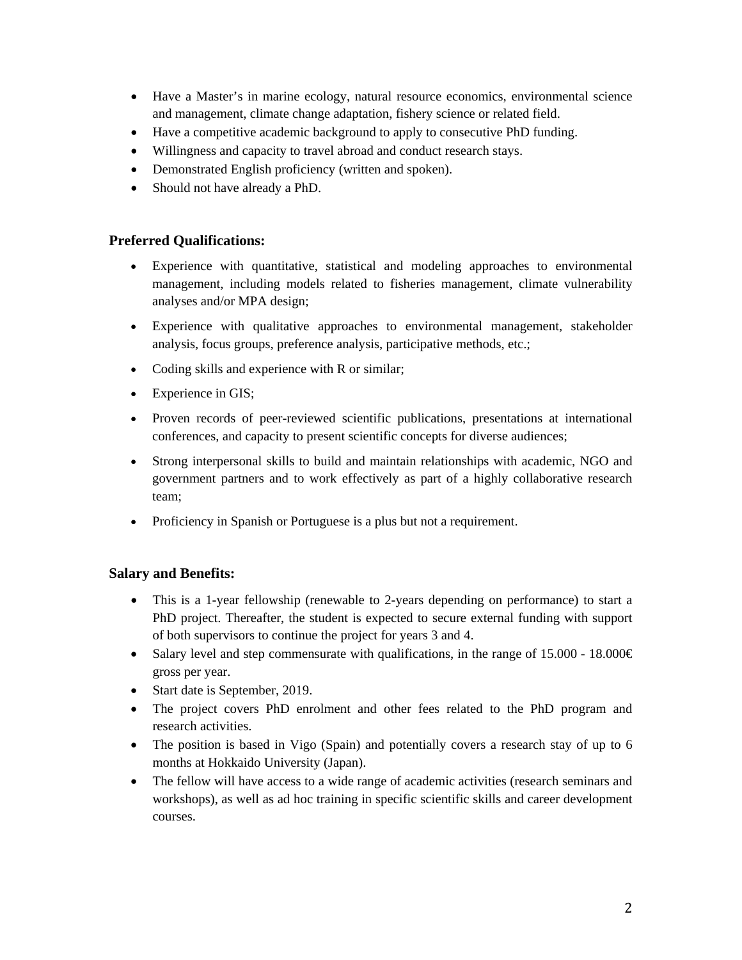- Have a Master's in marine ecology, natural resource economics, environmental science and management, climate change adaptation, fishery science or related field.
- Have a competitive academic background to apply to consecutive PhD funding.
- Willingness and capacity to travel abroad and conduct research stays.
- Demonstrated English proficiency (written and spoken).
- Should not have already a PhD.

#### **Preferred Qualifications:**

- Experience with quantitative, statistical and modeling approaches to environmental management, including models related to fisheries management, climate vulnerability analyses and/or MPA design;
- Experience with qualitative approaches to environmental management, stakeholder analysis, focus groups, preference analysis, participative methods, etc.;
- Coding skills and experience with R or similar;
- Experience in GIS;
- Proven records of peer-reviewed scientific publications, presentations at international conferences, and capacity to present scientific concepts for diverse audiences;
- Strong interpersonal skills to build and maintain relationships with academic, NGO and government partners and to work effectively as part of a highly collaborative research team;
- Proficiency in Spanish or Portuguese is a plus but not a requirement.

## **Salary and Benefits:**

- This is a 1-year fellowship (renewable to 2-years depending on performance) to start a PhD project. Thereafter, the student is expected to secure external funding with support of both supervisors to continue the project for years 3 and 4.
- Salary level and step commensurate with qualifications, in the range of 15.000 18.000  $\in$ gross per year.
- Start date is September, 2019.
- The project covers PhD enrolment and other fees related to the PhD program and research activities.
- The position is based in Vigo (Spain) and potentially covers a research stay of up to 6 months at Hokkaido University (Japan).
- The fellow will have access to a wide range of academic activities (research seminars and workshops), as well as ad hoc training in specific scientific skills and career development courses.